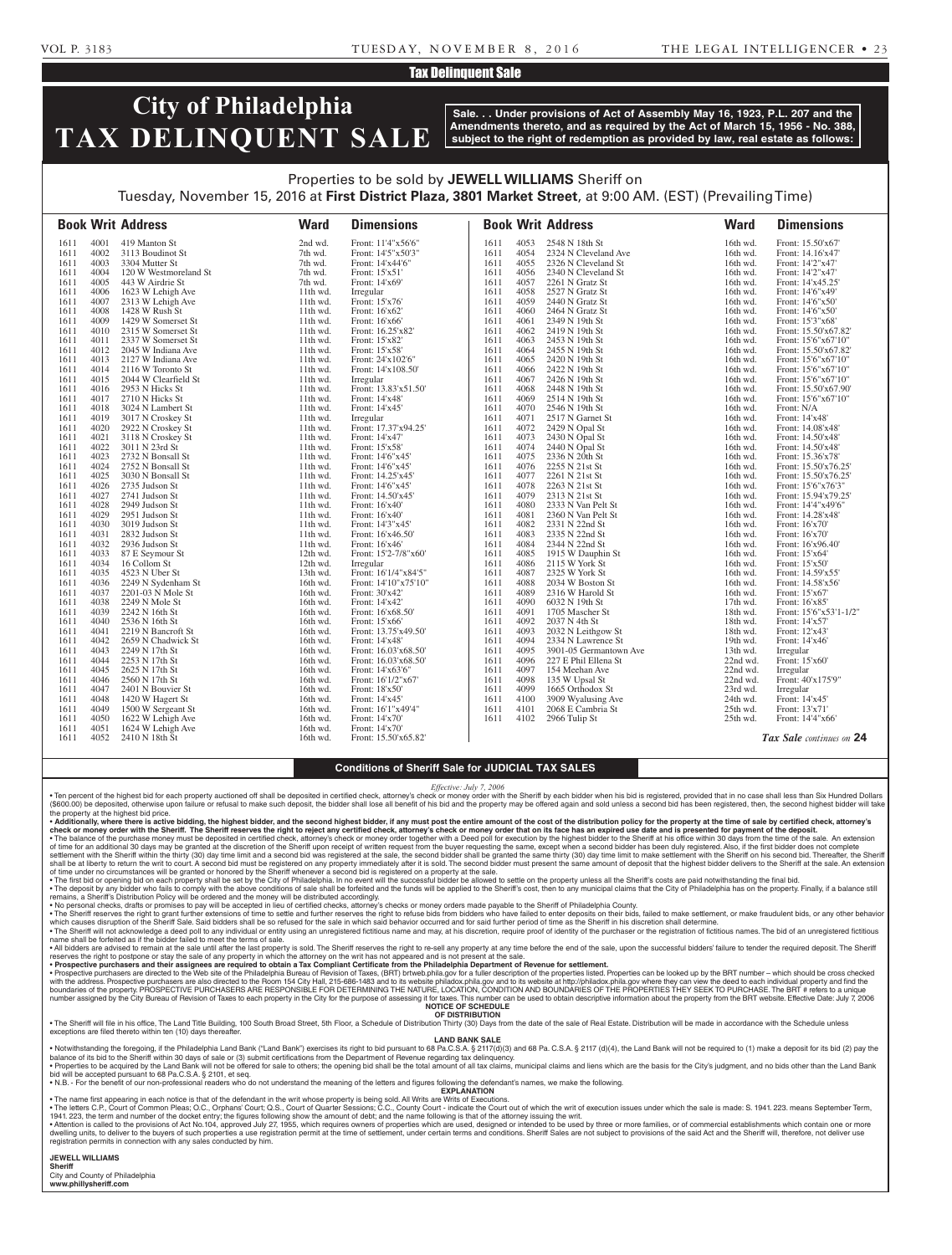#### VOL P. 3183 TUESDAY, N OV E M B E R 8 , 2 0 1 6 THE LEGAL INTELLIGENCER • 2 3

## Tax Delinquent Sale

# **City of Philadelphia TAX DELINQUENT SALE**

**Sale. . . Under provisions of Act of Assembly May 16, 1923, P.L. 207 and the Amendments thereto, and as required by the Act of March 15, 1956 - No. 388, subject to the right of redemption as provided by law, real estate as follows:**

## Properties to be sold by **JEWELL WILLIAMS** Sheriff on Tuesday, November 15, 2016 at **First District Plaza, 3801 Market Street**, at 9:00 AM. (EST) (Prevailing Time)

**Book Writ Address Ward Dimensions Book Writ Address Ward Dimensions** 1611 4001 419 Manton St 2nd wd. Front: 11'4"x56'6" 16102 3113 Boudinot St 7th wd. Front: 14'5"x50'3<br>
16103 3304 Mutter St 7th wd. Front: 14'x44'6" 1611 4003 3304 Mutter St 7th wd. Front: 14'x44'6"<br>1611 4004 120 W Westmoreland St 7th wd. Front: 15'x51' 1611 4004 120 W Westmoreland St 7th wd. Front: 15'x51' 16105 443 W Airdrie St 7th wd. Front: 14<br>
1623 W Lehigh Ave 11th wd. Irregular 1611 4006 1623 W Lehigh Ave 11th wd. Irregular<br>1611 4007 2313 W Lehigh Ave 11th wd. Front: 15'x76' 1611 4007 2313 W Lehigh Ave 11th wd. 1611 4008 1428 W Rush St 11th wd. Front: 16'x62' 1611 4009 1429 W Somerset St 11th wd. Front: 16'x66'<br>1611 4010 2315 W Somerset St 11th wd. Front: 16.25'x82' 1611 4010 2315 W Somerset St 11th wd. Front: 16.25'x<br>1611 4011 2337 W Somerset St 11th wd. Front: 15'x82' 1611 4011 2337 W Somerset St 11th wd. Front: 15'x82' 1611 4012 2045 W Indiana Ave 11th wd. Front: 15'x58' 1611 4013 2127 W Indiana Ave 11th wd. Front: 24'x102'6"<br>1611 4014 2116 W Toronto St 11th wd. Front: 14'x108.50" 1611 4014 2116 W Toronto St 11th wd.<br>1611 4015 2044 W Clearfield St 11th wd. 1611 4015 2044 W Clearfield St 11th wd. Irregular 1611 4016 2953 N Hicks St 11th wd. Front: 13.83'x51.50'<br>1611 4017 2710 N Hicks St 11th wd. Front: 14'x48' 1611 4017 2710 N Hicks St 11th wd. Front: 14'x48'<br>1611 4018 3024 N Lambert St 11th wd. Front: 14'x45' 1611 4018 3024 N Lambert St 11th wd. Front: 14<br>1611 4019 3017 N Croskey St 11th wd. Irregular 1611 4019 3017 N Croskey St 11th wd. Irregular<br>1611 4020 2922 N Croskey St 11th wd. Front: 17.37'x94.25' 2922 N Croskey St 1611 4021 3118 N Croskey St 11th wd. Front: 14'x47'<br>1611 4022 3011 N 23rd St 11th wd. Front: 15'x58' 1611 4022 3011 N 23rd St 11th wd. Front: 15'x58'<br>1611 4023 2732 N Bonsall St 11th wd. Front: 14'6"x45' 1611 4023 2732 N Bonsall St 11th wd. Front: 14'6"x45' 1611 4024 2752 N Bonsall St 11th wd.<br>1611 4025 3030 N Bonsall St 11th wd. 11th wd. Front: 14.25'x45<br>
1626 2735 Judson St 11th wd. Front: 14'6"x45' 1611 4026 2735 Judson St 11th wd. Front: 14'6"x45' 1611 4027 2741 Judson St 11th wd. Front: 14.50'x45' 1611 4028 2949 Judson St 11th wd. Front: 16'x40' 1611 4029 2951 Judson St 1611 4030 3019 Judson St 11th wd. Front: 14'3"x45' 1611 4031 2832 Judson St 11th wd. Front: 16'x46.50' 1611 4032 2936 Judson St 11th wd.<br>1611 4033 87 E Seymour St 12th wd. 1611 4033 87 E Seymour St 12th wd. Front: 15'2-7/8"x60' 4034 16 Collom St<br>4035 4523 N Uber St 1611 4035 4523 N Uber St 13th wd. Front: 16'14"x84'5"<br>1611 4036 2249 N Sydenham St 16th wd. Front: 14'10"x75'10" 1611 4036 2249 N Sydenham St 16th wd. Front: 14'10"x<br>1611 4037 2201-03 N Mole St 16th wd. Front: 30'x42' 2201-03 N Mole St 16th wd. Front: 30'x42'<br>2249 N Mole St 16th wd. Front: 14'x42' 1611 4038 2249 N Mole St 16th wd. 1611 4039 2242 N 16th St 16th wd. Front: 16'x68.50 1611 4040 2536 N 16th St 16th wd. Front: 15'x66'<br>1611 4041 2219 N Bancroft St 16th wd. Front: 13.75'x 1611 4041 2219 N Bancroft St<br>1611 4042 2659 N Chadwick St<br>16th wd. Front: 14'x48' 1611 4042 2659 N Chadwick St 16th wd.<br>1611 4043 2249 N 17th St 16th wd. 16th wd. Front: 16.03'x68.50'<br>
1644 2253 N 17th St 16th wd. Front: 16.03'x68.50' 1611 4044 2253 N 17th St<br>1611 4045 2625 N 17th St<br>16th wd. Front: 14'x63'6" 1611 4045 2625 N 17th St 16th wd.<br>1611 4046 2560 N 17th St 16th wd. 16th wd. Front: 16'1/2"x67'<br>
16th wd. Front: 18'x50'<br>
16th wd. Front: 18'x50' 1611 4047 2401 N Bouvier St 16th wd. Front: 18'x50'<br>
1611 4048 1420 W Hagert St 16th wd. Front: 14'x45'<br>
1611 4049 1500 W Sergeant St 16th wd. Front: 16'1"x49'4' 1611 4048 1420 W Hagert St 16th wd.<br>1611 4049 1500 W Sergeant St 16th wd. 1611 4049 1500 W Sergeant St 16th wd. Front: 16'1"x4<br>1611 4050 1622 W Lehigh Ave 16th wd. Front: 14'x70' 1611 4050 1622 W Lehigh Ave 16th wd. Front: 14'x70'<br>1611 4051 1624 W Lehigh Ave 16th wd. Front: 14'x70' 1611 4051 1624 W Lehigh Ave 16th wd.<br>1611 4052 2410 N 18th St 16th wd. Front: 15.50'x65.82' 1611 4053 2548 N 18th St 16th wd. Front: 15.50'x67'<br>1611 4054 2324 N Cleveland Ave 16th wd. Front: 14.16'x47' 16th wd. Front: 14.16'x47<br>
16th wd. Front: 14.16'x47<br>
16th wd. Front: 14'2"x47 1611 4055 2326 N Cleveland St 16th wd. Front: 14'2"x47' 1611 4056 2340 N Cleveland St 16th wd.<br>1611 4057 2261 N Gratz St 16th wd. 1611 4057 2261 N Gratz St 16th wd. Front: 14'x45.25' 1611 4058 2527 N Gratz St 16th wd. 1611 4059 2440 N Gratz St 16th wd. Front: 14'6"x50' 1611 4060 2464 N Gratz St 16th wd. Front: 14'6"x50' 1611 4061 2349 N 19th St 16th wd. Front: 15'3"x68' 1611 4062 2419 N 19th St 16th wd. Front: 15.50'x67.82'<br>1611 4063 2453 N 19th St 16th wd. Front: 15'6"x67'10" 16th wd. Front: 15'6"x67'10"<br>
16th wd. Front: 15.50'x67.82<br>
16th wd. Front: 15.50'x67.82 1611 4064 2455 N 19th St<br>1611 4065 2420 N 19th St<br>16th wd. Front: 15'6"x67'10" 1611 4065 2420 N 19th St 16th wd. Front: 15'6"x67'10"<br>1611 4066 2422 N 19th St 16th wd. Front: 15'6"x67'10" 1611 4066 2422 N 19th St 16th wd. Front: 15'6"x67'10"<br>1611 4067 2426 N 19th St 16th wd. Front: 15'6"x67'10" 1611 4067 2426 N 19th St 16th wd. Front: 15'6"x67'10" 1611 4068 2448 N 19th St 16th wd. Front: 15.50'x67.90'<br>1611 4069 2514 N 19th St 16th wd. Front: 15'6"x67'10" 1611 4069 2514 N 19th St 16th wd. Front: 15'6"x67'10"<br>1611 4070 2546 N 19th St 16th wd. Front: N/A 1611 4070 2546 N 19th St 16th wd. Front: N/A<br>1611 4071 2517 N Garnet St 16th wd. Front: 14'x48' 1611 4071 2517 N Garnet St 16th wd.<br>1611 4072 2429 N Opal St 16th wd. Front: 14.08'x48' 1611 4073 2430 N Opal St 16th wd. Front: 14.50'x48 1611 4074 2440 N Opal St 16th wd. Front: 14.50'x48'<br>1611 4075 2336 N 20th St 16th wd. Front: 15.36'x78' 16th wd. Front: 15.36'x78<br>
16th wd. Front: 15.50'x76<br>
16th wd. Front: 15.50'x76 1611 4076 2255 N 21st St 16th wd. Front: 15.50'x76.25'<br>1611 4077 2261 N 21st St 16th wd. Front: 15.50'x76.25' 16th wd. Front: 15.50'x76.25'<br>
16th wd. Front: 15'6"x76'3"<br>
16th wd. Front: 15'6"x76'3" 1611 4078 2263 N 21st St 16th wd. Front: 15'6"x76'3"<br>1611 4079 2313 N 21st St 16th wd. Front: 15.94'x79.2 1611 4079 2313 N 21st St 16th wd. Front: 15.94'x79.25'<br>1611 4080 2333 N Van Pelt St 16th wd. Front: 14'4"x49'6" 1611 4080 2333 N Van Pelt St 16th wd. Front: 14'4"x49'6" 1611 4081 2360 N Van Pelt St 1611 4082 2331 N 22nd St 16th wd. Front: 16'x70' 1611 4083 2335 N 22nd St 16th wd. Front: 16'x70'<br>1611 4084 2344 N 22nd St 16th wd. Front: 16'x96. 1611 4084 2344 N 22nd St 16th wd. Front: 16'x96.40'<br>1611 4085 1915 W Dauphin St 16th wd. Front: 15'x64' 1611 4085 1915 W Dauphin St 16th wd. Front: 15'x64'<br>1611 4086 2115 W York St 16th wd. Front: 15'x50' 161 4086 2115 W York St<br>
2325 W York St 1611 4087 2325 W York St 16th wd. Front: 14.59'x55'<br>1611 4088 2034 W Boston St 16th wd. Front: 14.58'x56' 1611 4088 2034 W Boston St 16th wd. Front: 14.58'x<br>1611 4089 2316 W Harold St 16th wd. Front: 15'x67'  $2316$  W Harold St 1611 4090 6032 N 19th St 17th wd. Front: 16'x85' 1611 4091 1705 Mascher St 18th wd. Front: 15'6"x53'1-1/2"<br>1611 4092 2037 N 4th St 18th wd Front: 14'x57' 1611 4092 2037 N 4th St 18th wd. Front: 14'x57'<br>1611 4093 2032 N Leithgow St 18th wd. Front: 12'x43' 1611 4093 2032 N Leithgow St 18th wd. Front: 12'x43'<br>1611 4094 2334 N Lawrence St 19th wd. Front: 14'x46' 1611 4094 2334 N Lawrence St 19th wd. Front: 14<br>1611 4095 3901-05 Germantown Ave 13th wd. Irregular 16195 1611 4095 4095 4096 13th wd. Irregular<br>16196 227 E Phil Ellena St 22nd wd. Front: 15'x60 1611 4096 227 E Phil Ellena St 22nd wd.<br>1611 4097 154 Meehan Ave 22nd wd. 22nd wd. 1611 4097 154 Meehan Ave 22nd wd. Irregular<br>1611 4098 135 W Upsal St 22nd wd. Front: 40 1611 4098 135 W Upsal St 22nd wd. Front: 40'x175'9" 1611 4099 1665 Orthodox St 23rd wd. Irregular<br>1611 4100 3909 Wyalusing Ave 24th wd. Front: 14'x45' 1611 4100 3909 Wyalusing Ave 24th wd. Front: 14'x45<br>1611 4101 2068 E Cambria St 25th wd. Front: 13'x71 1611 4101 2068 E Cambria St 25th wd.<br>1611 4102 2966 Tulip St 25th wd. Front: 14'4"x66' *Tax Sale continues on* **24**

#### **Conditions of Sheriff Sale for JUDICIAL TAX SALES**

*Effective: July 7, 2006*

∙ Ten percent of the highest bid for each property auctioned off shall be deposited in certified check, attorney's check or money order with the Sheriff by each bidder when his bid is registered, provided that in no case

• Additionally, where there is active bidding, the highest bidder, and the second highest bidder, if any must post the entire amount of the cost of the distribution policy for the property at the time of sale by certified shall be at liberty to return the writ to court. A second bid must be registered on any property immediately after it is sold. The second bidder must present the same amount of deposit that the highest bidder delivers to t

• The first bid or opening bid on each property shall be set by the City of Philadelphia. In no event will the successful bidder be allowed to settle on the property unless all the Sheriff's costs are paid not withstanding

remains, a Sheriff's Distribution Policy will be ordered and the money will be distributed accordingly.<br>• No personal checks, drament of the secepted in lieu of certical on the secepted in lieu of certified checks, attorn

which causes disruption of the Sheriff Sale. Said bidders shall be so refused for the sale in which said behavior occurred and for said further period of time as the Sheriff in his discretion shall determine.<br>• The Sheriff name shall be forfeited as if the bidder failed to meet the terms of sale.

• All bidders are advised to remain at the sale until after the last property is sold. The Sheriff reserves the right to re-sell any property at any time before the end of the sale, upon the successful bidders' failure to

• Prospective purchasers and their assigness are required to obtain a Tax Compliant Certificate from the Philadelphia Department of Revenue for settlement.<br>• Prospective purchasers are directed to the Velosite checked to t number assigned by the City Bureau of Revision of Taxes to each property in the City for the purpose of assessing it for taxes. This number can be used to obtain descriptive information about the property from the BRT webs **NOTICE OF SCHEDULE**

**OF DISTRIBUTION** • The Sheriff will file in his office, The Land Title Building, 100 South Broad Street, 5th Floor, a Schedule of Distribution Thirty (30) Days from the date of the sale of Real Estate. Distribution will be made in accordan

**LAND BANK SALE**

foregoing, if the Philadelphia Land Bank ("Land Bank") exercises its right to bid pursuant to 68 Pa.C.S.A. § 2117(d)(3) and 68 Pa.C.S.A. § 2117 (d)(4), the Land Bank will not be required to (1) make a deposit for its bid ( balance of its bid to the Sheriff within 30 days of sale or (3) submit certifications from the Department of Revenue regarding tax delinquency. . Properties to be acquired by the Land Bank will not be offered for sale to others; the opening bid shall be the total amount of all tax claims, municipal claims and liens which are the basis for the City's judgment, and bid will be accepted pursuant to 68 Pa.C.S.A. § 2101, et seq.

• N.B. - For the benefit of our non-professional readers who do not understand the meaning of the letters and figures following the defendant's names, we make the following. **EXPLANATION** 

• The name first appearing in each notice is that of the defendant in the writ whose property is being sold. All Writs are Writs of Executions.<br>• The letters C.P., Court of Common Pleas to a broth and the writ of Diplans'

• Attention is called to the provisions of Act No.104, approved July 27, 1955, which requires owners of properties which are used, designed or intended to be used by three or more families, or of commercial establishments registration permits in connection with any sales conducted by him.

**JEWELL WILLIAMS Sheriff**  City and County of Philadelphia

**www.phillysheriff.com**